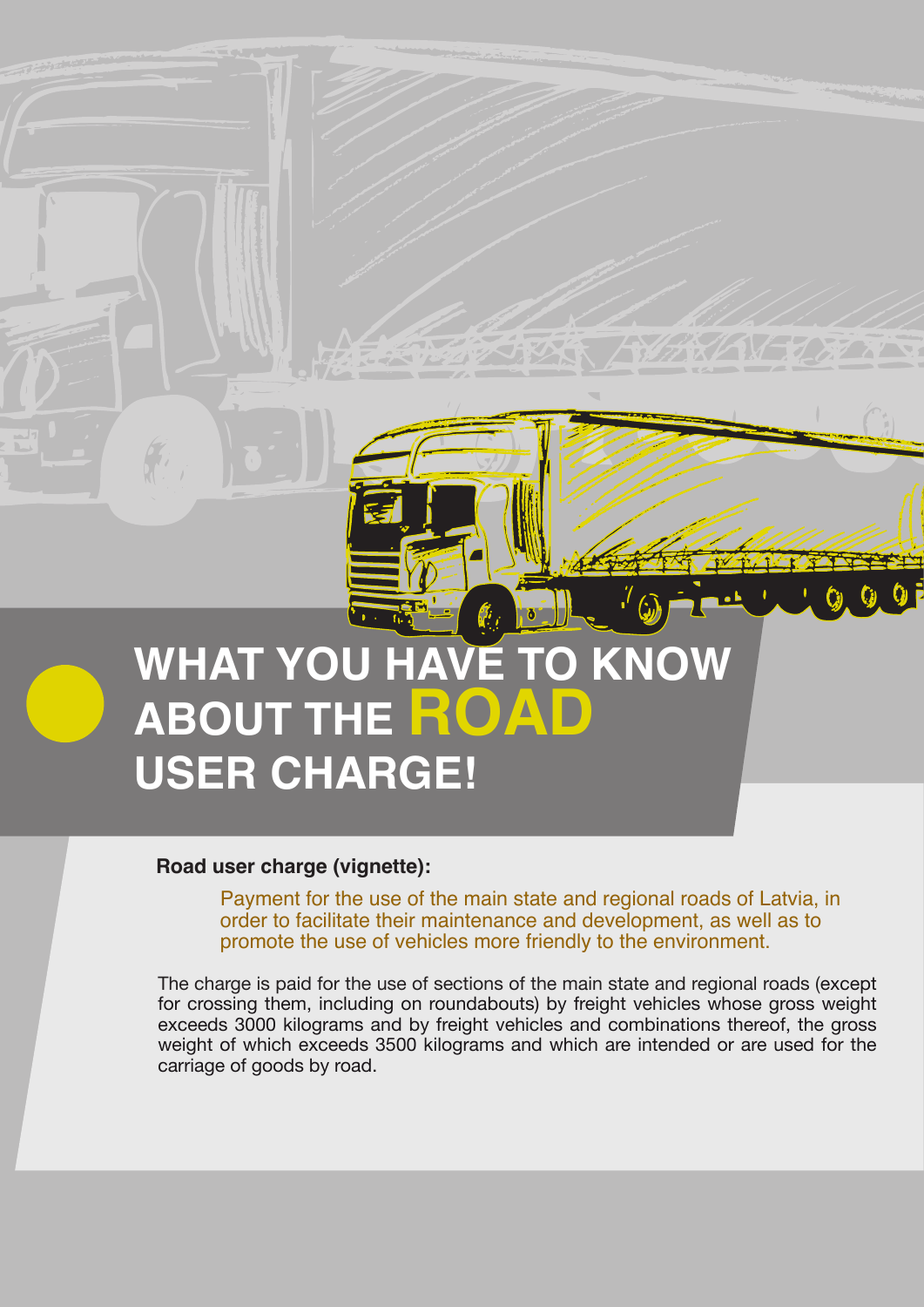# **WHAT YOU HAVE TO KNOW ABOUT THE ROA USER CHARGE!**

#### **Road user charge (vignette):**

Payment for the use of the main state and regional roads of Latvia, in order to facilitate their maintenance and development, as well as to promote the use of vehicles more friendly to the environment.

The charge is paid for the use of sections of the main state and regional roads (except for crossing them, including on roundabouts) by freight vehicles whose gross weight exceeds 3000 kilograms and by freight vehicles and combinations thereof, the gross weight of which exceeds 3500 kilograms and which are intended or are used for the carriage of goods by road.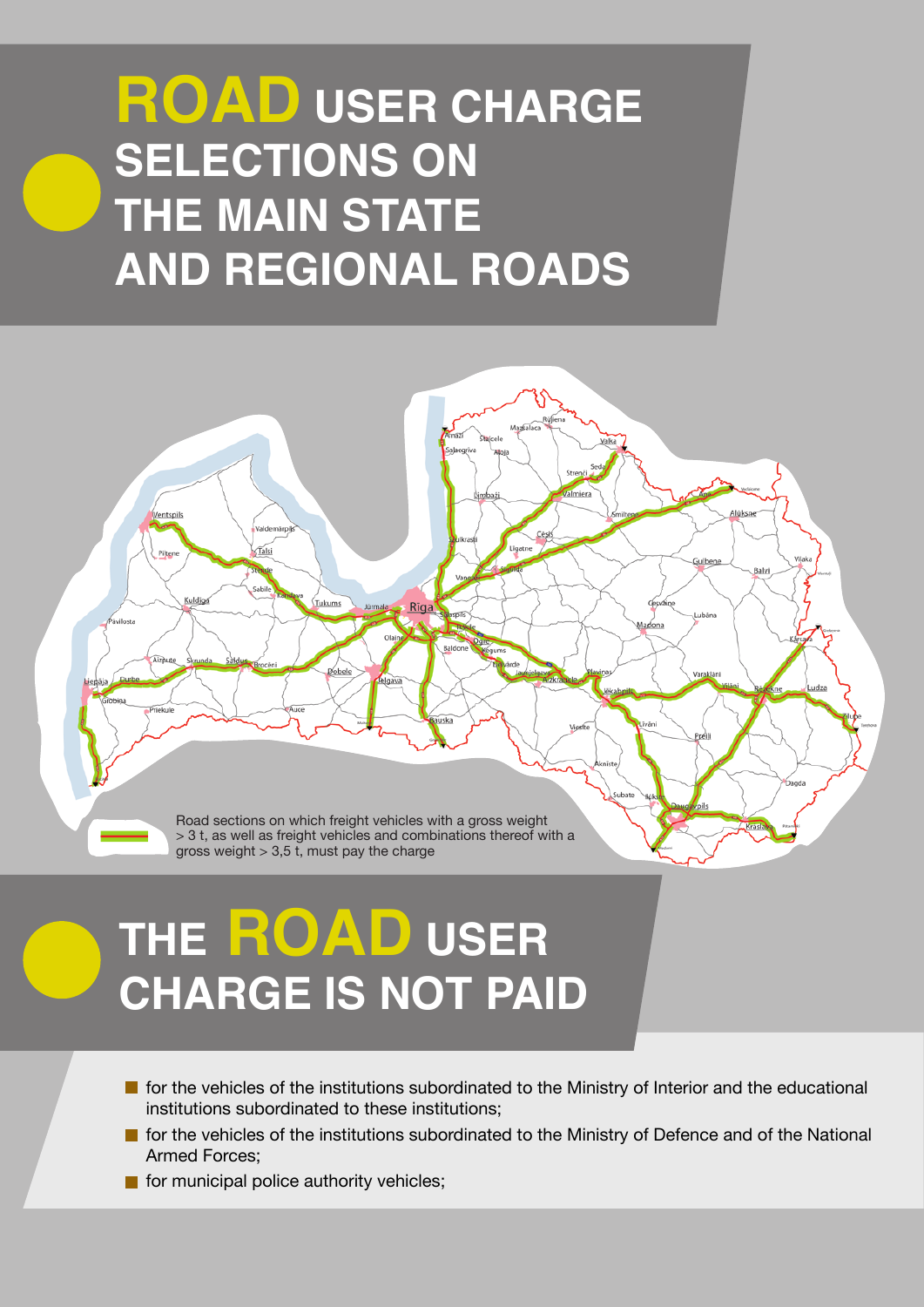## **ROAD USER CHARGE SELECTIONS ON THE MAIN STATE AND REGIONAL ROADS**

Road sections on which freight vehicles with a gross weight  $>$  3 t, as well as freight vehicles and combinations thereof with a gross weight  $> 3.5$  t, must pay the charge

# **THE ROAD USER CHARGE IS NOT PAID**

- $\blacksquare$  for the vehicles of the institutions subordinated to the Ministry of Interior and the educational institutions subordinated to these institutions;
- **For the vehicles of the institutions subordinated to the Ministry of Defence and of the National** Armed Forces;
- $\blacksquare$  for municipal police authority vehicles;

**Tals** 

**Tukums** 

Rīga

elgay

.<br>Kuldi